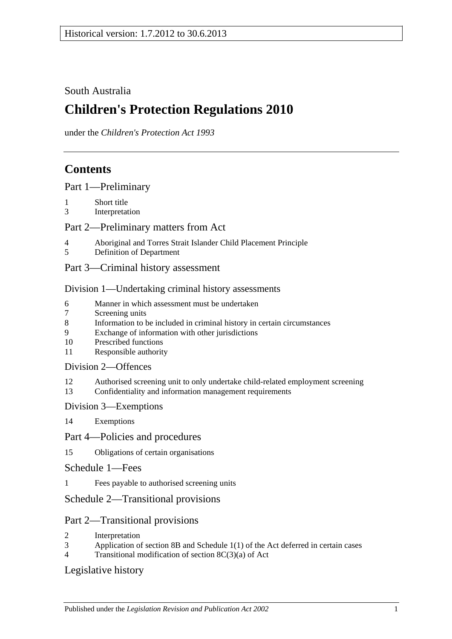## South Australia

# **Children's Protection Regulations 2010**

under the *Children's Protection Act 1993*

# **Contents**

[Part 1—Preliminary](#page-1-0)

- 1 [Short title](#page-1-1)
- 3 [Interpretation](#page-1-2)

#### [Part 2—Preliminary matters from Act](#page-1-3)

- 4 [Aboriginal and Torres Strait Islander Child Placement Principle](#page-1-4)
- 5 [Definition of Department](#page-2-0)
- [Part 3—Criminal history assessment](#page-2-1)

#### [Division 1—Undertaking criminal history assessments](#page-2-2)

- 6 [Manner in which assessment must be undertaken](#page-2-3)<br>7 Screening units
- [Screening units](#page-3-0)
- 8 [Information to be included in criminal history in certain circumstances](#page-3-1)
- 9 [Exchange of information with other jurisdictions](#page-3-2)
- 10 [Prescribed functions](#page-3-3)
- 11 [Responsible authority](#page-4-0)

#### [Division 2—Offences](#page-4-1)

- 12 [Authorised screening unit to only undertake child-related employment screening](#page-4-2)
- 13 [Confidentiality and information management requirements](#page-4-3)

#### [Division 3—Exemptions](#page-5-0)

14 [Exemptions](#page-5-1)

#### [Part 4—Policies and procedures](#page-6-0)

- 15 [Obligations of certain organisations](#page-6-1)
- [Schedule 1—Fees](#page-6-2)
- 1 [Fees payable to authorised screening units](#page-6-3)

## [Schedule 2—Transitional provisions](#page-7-0)

## Part 2—Transitional provisions

- 2 [Interpretation](#page-7-1)
- 3 Application of section 8B and Schedule [1\(1\) of the Act deferred in certain cases](#page-7-2)
- 4 [Transitional modification of section](#page-9-0) 8C(3)(a) of Act

## [Legislative history](#page-10-0)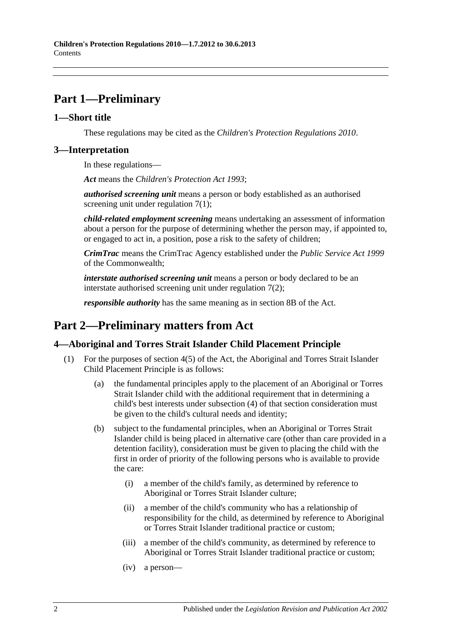# <span id="page-1-0"></span>**Part 1—Preliminary**

#### <span id="page-1-1"></span>**1—Short title**

These regulations may be cited as the *Children's Protection Regulations 2010*.

#### <span id="page-1-2"></span>**3—Interpretation**

In these regulations—

*Act* means the *[Children's Protection Act](http://www.legislation.sa.gov.au/index.aspx?action=legref&type=act&legtitle=Childrens%20Protection%20Act%201993) 1993*;

*authorised screening unit* means a person or body established as an authorised screening unit under [regulation](#page-3-4) 7(1);

*child-related employment screening* means undertaking an assessment of information about a person for the purpose of determining whether the person may, if appointed to, or engaged to act in, a position, pose a risk to the safety of children;

*CrimTrac* means the CrimTrac Agency established under the *Public Service Act 1999* of the Commonwealth;

*interstate authorised screening unit* means a person or body declared to be an interstate authorised screening unit under [regulation](#page-3-5) 7(2);

*responsible authority* has the same meaning as in section 8B of the Act.

# <span id="page-1-3"></span>**Part 2—Preliminary matters from Act**

#### <span id="page-1-4"></span>**4—Aboriginal and Torres Strait Islander Child Placement Principle**

- <span id="page-1-5"></span>(1) For the purposes of section 4(5) of the Act, the Aboriginal and Torres Strait Islander Child Placement Principle is as follows:
	- (a) the fundamental principles apply to the placement of an Aboriginal or Torres Strait Islander child with the additional requirement that in determining a child's best interests under subsection (4) of that section consideration must be given to the child's cultural needs and identity;
	- (b) subject to the fundamental principles, when an Aboriginal or Torres Strait Islander child is being placed in alternative care (other than care provided in a detention facility), consideration must be given to placing the child with the first in order of priority of the following persons who is available to provide the care:
		- (i) a member of the child's family, as determined by reference to Aboriginal or Torres Strait Islander culture;
		- (ii) a member of the child's community who has a relationship of responsibility for the child, as determined by reference to Aboriginal or Torres Strait Islander traditional practice or custom;
		- (iii) a member of the child's community, as determined by reference to Aboriginal or Torres Strait Islander traditional practice or custom;
		- (iv) a person—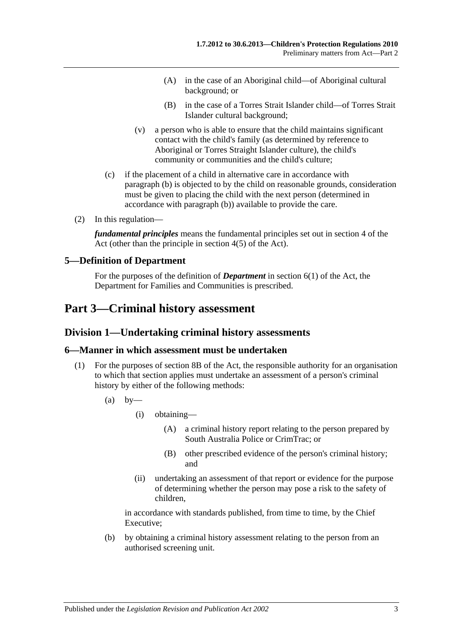- (A) in the case of an Aboriginal child—of Aboriginal cultural background; or
- (B) in the case of a Torres Strait Islander child—of Torres Strait Islander cultural background;
- (v) a person who is able to ensure that the child maintains significant contact with the child's family (as determined by reference to Aboriginal or Torres Straight Islander culture), the child's community or communities and the child's culture;
- (c) if the placement of a child in alternative care in accordance with [paragraph](#page-1-5) (b) is objected to by the child on reasonable grounds, consideration must be given to placing the child with the next person (determined in accordance with [paragraph](#page-1-5) (b)) available to provide the care.
- (2) In this regulation—

*fundamental principles* means the fundamental principles set out in section 4 of the Act (other than the principle in section 4(5) of the Act).

#### <span id="page-2-0"></span>**5—Definition of Department**

For the purposes of the definition of *Department* in section 6(1) of the Act, the Department for Families and Communities is prescribed.

# <span id="page-2-2"></span><span id="page-2-1"></span>**Part 3—Criminal history assessment**

#### **Division 1—Undertaking criminal history assessments**

#### <span id="page-2-3"></span>**6—Manner in which assessment must be undertaken**

- <span id="page-2-4"></span>(1) For the purposes of section 8B of the Act, the responsible authority for an organisation to which that section applies must undertake an assessment of a person's criminal history by either of the following methods:
	- $(a)$  by
		- (i) obtaining—
			- (A) a criminal history report relating to the person prepared by South Australia Police or CrimTrac; or
			- (B) other prescribed evidence of the person's criminal history; and
		- (ii) undertaking an assessment of that report or evidence for the purpose of determining whether the person may pose a risk to the safety of children,

in accordance with standards published, from time to time, by the Chief Executive;

(b) by obtaining a criminal history assessment relating to the person from an authorised screening unit.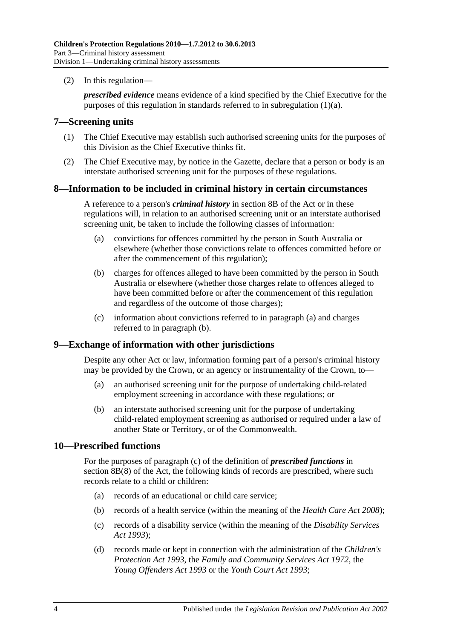(2) In this regulation—

*prescribed evidence* means evidence of a kind specified by the Chief Executive for the purposes of this regulation in standards referred to in [subregulation](#page-2-4) (1)(a).

#### <span id="page-3-4"></span><span id="page-3-0"></span>**7—Screening units**

- (1) The Chief Executive may establish such authorised screening units for the purposes of this Division as the Chief Executive thinks fit.
- <span id="page-3-5"></span>(2) The Chief Executive may, by notice in the Gazette, declare that a person or body is an interstate authorised screening unit for the purposes of these regulations.

#### <span id="page-3-1"></span>**8—Information to be included in criminal history in certain circumstances**

A reference to a person's *criminal history* in section 8B of the Act or in these regulations will, in relation to an authorised screening unit or an interstate authorised screening unit, be taken to include the following classes of information:

- <span id="page-3-6"></span>(a) convictions for offences committed by the person in South Australia or elsewhere (whether those convictions relate to offences committed before or after the commencement of this regulation);
- <span id="page-3-7"></span>(b) charges for offences alleged to have been committed by the person in South Australia or elsewhere (whether those charges relate to offences alleged to have been committed before or after the commencement of this regulation and regardless of the outcome of those charges);
- (c) information about convictions referred to in [paragraph](#page-3-6) (a) and charges referred to in [paragraph](#page-3-7) (b).

#### <span id="page-3-8"></span><span id="page-3-2"></span>**9—Exchange of information with other jurisdictions**

Despite any other Act or law, information forming part of a person's criminal history may be provided by the Crown, or an agency or instrumentality of the Crown, to—

- (a) an authorised screening unit for the purpose of undertaking child-related employment screening in accordance with these regulations; or
- (b) an interstate authorised screening unit for the purpose of undertaking child-related employment screening as authorised or required under a law of another State or Territory, or of the Commonwealth.

#### <span id="page-3-3"></span>**10—Prescribed functions**

For the purposes of paragraph (c) of the definition of *prescribed functions* in section 8B(8) of the Act, the following kinds of records are prescribed, where such records relate to a child or children:

- (a) records of an educational or child care service;
- (b) records of a health service (within the meaning of the *[Health Care Act](http://www.legislation.sa.gov.au/index.aspx?action=legref&type=act&legtitle=Health%20Care%20Act%202008) 2008*);
- (c) records of a disability service (within the meaning of the *[Disability Services](http://www.legislation.sa.gov.au/index.aspx?action=legref&type=act&legtitle=Disability%20Services%20Act%201993)  Act [1993](http://www.legislation.sa.gov.au/index.aspx?action=legref&type=act&legtitle=Disability%20Services%20Act%201993)*);
- (d) records made or kept in connection with the administration of the *[Children's](http://www.legislation.sa.gov.au/index.aspx?action=legref&type=act&legtitle=Childrens%20Protection%20Act%201993)  [Protection Act](http://www.legislation.sa.gov.au/index.aspx?action=legref&type=act&legtitle=Childrens%20Protection%20Act%201993) 1993*, the *[Family and Community Services Act](http://www.legislation.sa.gov.au/index.aspx?action=legref&type=act&legtitle=Family%20and%20Community%20Services%20Act%201972) 1972*, the *[Young Offenders Act](http://www.legislation.sa.gov.au/index.aspx?action=legref&type=act&legtitle=Young%20Offenders%20Act%201993) 1993* or the *[Youth Court Act](http://www.legislation.sa.gov.au/index.aspx?action=legref&type=act&legtitle=Youth%20Court%20Act%201993) 1993*;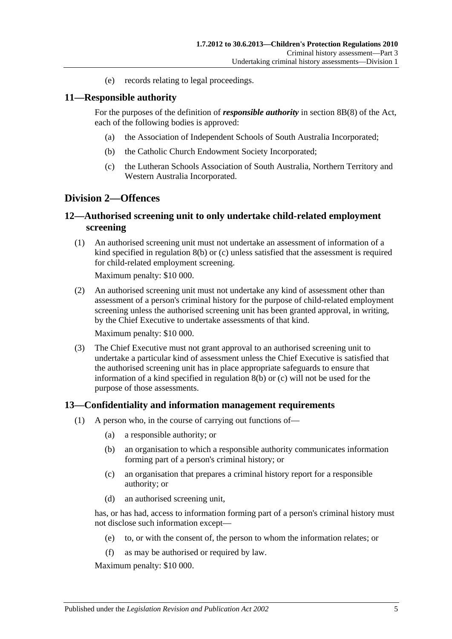(e) records relating to legal proceedings.

#### <span id="page-4-0"></span>**11—Responsible authority**

For the purposes of the definition of *responsible authority* in section 8B(8) of the Act, each of the following bodies is approved:

- (a) the Association of Independent Schools of South Australia Incorporated;
- (b) the Catholic Church Endowment Society Incorporated;
- (c) the Lutheran Schools Association of South Australia, Northern Territory and Western Australia Incorporated.

#### <span id="page-4-1"></span>**Division 2—Offences**

#### <span id="page-4-2"></span>**12—Authorised screening unit to only undertake child-related employment screening**

(1) An authorised screening unit must not undertake an assessment of information of a kind specified in [regulation](#page-3-7) 8(b) or [\(c\)](#page-3-8) unless satisfied that the assessment is required for child-related employment screening.

Maximum penalty: \$10 000.

(2) An authorised screening unit must not undertake any kind of assessment other than assessment of a person's criminal history for the purpose of child-related employment screening unless the authorised screening unit has been granted approval, in writing, by the Chief Executive to undertake assessments of that kind.

Maximum penalty: \$10 000.

(3) The Chief Executive must not grant approval to an authorised screening unit to undertake a particular kind of assessment unless the Chief Executive is satisfied that the authorised screening unit has in place appropriate safeguards to ensure that information of a kind specified in [regulation](#page-3-7) 8(b) or [\(c\)](#page-3-8) will not be used for the purpose of those assessments.

#### <span id="page-4-3"></span>**13—Confidentiality and information management requirements**

- (1) A person who, in the course of carrying out functions of—
	- (a) a responsible authority; or
	- (b) an organisation to which a responsible authority communicates information forming part of a person's criminal history; or
	- (c) an organisation that prepares a criminal history report for a responsible authority; or
	- (d) an authorised screening unit,

has, or has had, access to information forming part of a person's criminal history must not disclose such information except—

- (e) to, or with the consent of, the person to whom the information relates; or
- (f) as may be authorised or required by law.

Maximum penalty: \$10 000.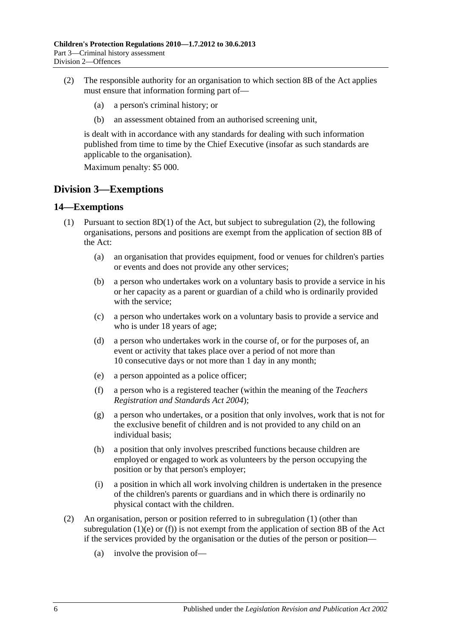- (2) The responsible authority for an organisation to which section 8B of the Act applies must ensure that information forming part of—
	- (a) a person's criminal history; or
	- (b) an assessment obtained from an authorised screening unit,

is dealt with in accordance with any standards for dealing with such information published from time to time by the Chief Executive (insofar as such standards are applicable to the organisation).

Maximum penalty: \$5 000.

## <span id="page-5-0"></span>**Division 3—Exemptions**

#### <span id="page-5-3"></span><span id="page-5-1"></span>**14—Exemptions**

- <span id="page-5-4"></span>(1) Pursuant to section  $8D(1)$  of the Act, but subject to [subregulation](#page-5-2) (2), the following organisations, persons and positions are exempt from the application of section 8B of the Act:
	- (a) an organisation that provides equipment, food or venues for children's parties or events and does not provide any other services;
	- (b) a person who undertakes work on a voluntary basis to provide a service in his or her capacity as a parent or guardian of a child who is ordinarily provided with the service;
	- (c) a person who undertakes work on a voluntary basis to provide a service and who is under 18 years of age;
	- (d) a person who undertakes work in the course of, or for the purposes of, an event or activity that takes place over a period of not more than 10 consecutive days or not more than 1 day in any month;
	- (e) a person appointed as a police officer;
	- (f) a person who is a registered teacher (within the meaning of the *[Teachers](http://www.legislation.sa.gov.au/index.aspx?action=legref&type=act&legtitle=Teachers%20Registration%20and%20Standards%20Act%202004)  [Registration and Standards Act](http://www.legislation.sa.gov.au/index.aspx?action=legref&type=act&legtitle=Teachers%20Registration%20and%20Standards%20Act%202004) 2004*);
	- (g) a person who undertakes, or a position that only involves, work that is not for the exclusive benefit of children and is not provided to any child on an individual basis;
	- (h) a position that only involves prescribed functions because children are employed or engaged to work as volunteers by the person occupying the position or by that person's employer;
	- (i) a position in which all work involving children is undertaken in the presence of the children's parents or guardians and in which there is ordinarily no physical contact with the children.
- <span id="page-5-5"></span><span id="page-5-2"></span>(2) An organisation, person or position referred to in [subregulation](#page-5-3) (1) (other than [subregulation](#page-5-4) (1)(e) or [\(f\)\)](#page-5-5) is not exempt from the application of section 8B of the Act if the services provided by the organisation or the duties of the person or position—
	- (a) involve the provision of—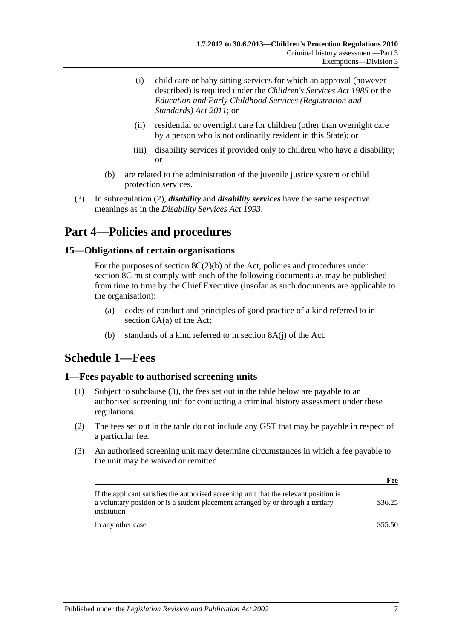- (i) child care or baby sitting services for which an approval (however described) is required under the *[Children's Services Act](http://www.legislation.sa.gov.au/index.aspx?action=legref&type=act&legtitle=Childrens%20Services%20Act%201985) 1985* or the *[Education and Early Childhood Services](http://www.legislation.sa.gov.au/index.aspx?action=legref&type=act&legtitle=Education%20and%20Early%20Childhood%20Services%20(Registration%20and%20Standards)%20Act%202011) (Registration and [Standards\) Act](http://www.legislation.sa.gov.au/index.aspx?action=legref&type=act&legtitle=Education%20and%20Early%20Childhood%20Services%20(Registration%20and%20Standards)%20Act%202011) 2011*; or
- (ii) residential or overnight care for children (other than overnight care by a person who is not ordinarily resident in this State); or
- (iii) disability services if provided only to children who have a disability; or
- (b) are related to the administration of the juvenile justice system or child protection services.
- (3) In [subregulation](#page-5-2) (2), *disability* and *disability services* have the same respective meanings as in the *[Disability Services Act](http://www.legislation.sa.gov.au/index.aspx?action=legref&type=act&legtitle=Disability%20Services%20Act%201993) 1993*.

# <span id="page-6-0"></span>**Part 4—Policies and procedures**

#### <span id="page-6-1"></span>**15—Obligations of certain organisations**

For the purposes of section  $8C(2)(b)$  of the Act, policies and procedures under section 8C must comply with such of the following documents as may be published from time to time by the Chief Executive (insofar as such documents are applicable to the organisation):

- (a) codes of conduct and principles of good practice of a kind referred to in section 8A(a) of the Act;
- (b) standards of a kind referred to in section 8A(j) of the Act.

# <span id="page-6-2"></span>**Schedule 1—Fees**

#### <span id="page-6-3"></span>**1—Fees payable to authorised screening units**

- (1) Subject to [subclause](#page-6-4) (3), the fees set out in the table below are payable to an authorised screening unit for conducting a criminal history assessment under these regulations.
- (2) The fees set out in the table do not include any GST that may be payable in respect of a particular fee.
- <span id="page-6-4"></span>(3) An authorised screening unit may determine circumstances in which a fee payable to the unit may be waived or remitted.

|                                                                                                                                                                                           | r ee    |
|-------------------------------------------------------------------------------------------------------------------------------------------------------------------------------------------|---------|
| If the applicant satisfies the authorised screening unit that the relevant position is<br>a voluntary position or is a student placement arranged by or through a tertiary<br>institution | \$36.25 |
| In any other case                                                                                                                                                                         | \$55.50 |

**Feb.** 2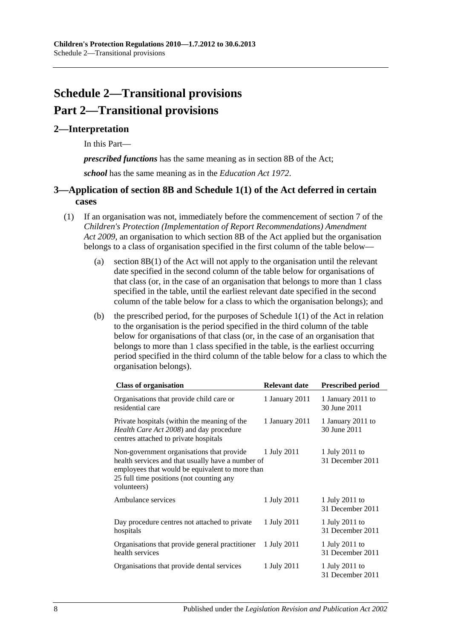# <span id="page-7-0"></span>**Schedule 2—Transitional provisions Part 2—Transitional provisions**

#### <span id="page-7-1"></span>**2—Interpretation**

In this Part—

*prescribed functions* has the same meaning as in section 8B of the Act;

*school* has the same meaning as in the *[Education Act](http://www.legislation.sa.gov.au/index.aspx?action=legref&type=act&legtitle=Education%20Act%201972) 1972*.

### <span id="page-7-2"></span>**3—Application of section 8B and Schedule 1(1) of the Act deferred in certain cases**

- <span id="page-7-3"></span>(1) If an organisation was not, immediately before the commencement of section 7 of the *[Children's Protection \(Implementation of Report Recommendations\) Amendment](http://www.legislation.sa.gov.au/index.aspx?action=legref&type=act&legtitle=Childrens%20Protection%20(Implementation%20of%20Report%20Recommendations)%20Amendment%20Act%202009)  Act [2009](http://www.legislation.sa.gov.au/index.aspx?action=legref&type=act&legtitle=Childrens%20Protection%20(Implementation%20of%20Report%20Recommendations)%20Amendment%20Act%202009)*, an organisation to which section 8B of the Act applied but the organisation belongs to a class of organisation specified in the first column of the table below—
	- (a) section 8B(1) of the Act will not apply to the organisation until the relevant date specified in the second column of the table below for organisations of that class (or, in the case of an organisation that belongs to more than 1 class specified in the table, until the earliest relevant date specified in the second column of the table below for a class to which the organisation belongs); and
	- (b) the prescribed period, for the purposes of Schedule  $1(1)$  of the Act in relation to the organisation is the period specified in the third column of the table below for organisations of that class (or, in the case of an organisation that belongs to more than 1 class specified in the table, is the earliest occurring period specified in the third column of the table below for a class to which the organisation belongs).

| <b>Class of organisation</b>                                                                                                                                                                                 | Relevant date  | <b>Prescribed period</b>           |
|--------------------------------------------------------------------------------------------------------------------------------------------------------------------------------------------------------------|----------------|------------------------------------|
| Organisations that provide child care or<br>residential care                                                                                                                                                 | 1 January 2011 | 1 January 2011 to<br>30 June 2011  |
| Private hospitals (within the meaning of the<br>Health Care Act 2008) and day procedure<br>centres attached to private hospitals                                                                             | 1 January 2011 | 1 January 2011 to<br>30 June 2011  |
| Non-government organisations that provide<br>health services and that usually have a number of<br>employees that would be equivalent to more than<br>25 full time positions (not counting any<br>volunteers) | 1 July 2011    | 1 July 2011 to<br>31 December 2011 |
| Ambulance services                                                                                                                                                                                           | 1 July 2011    | 1 July 2011 to<br>31 December 2011 |
| Day procedure centres not attached to private<br>hospitals                                                                                                                                                   | 1 July 2011    | 1 July 2011 to<br>31 December 2011 |
| Organisations that provide general practitioner<br>health services                                                                                                                                           | 1 July 2011    | 1 July 2011 to<br>31 December 2011 |
| Organisations that provide dental services                                                                                                                                                                   | 1 July 2011    | 1 July 2011 to<br>31 December 2011 |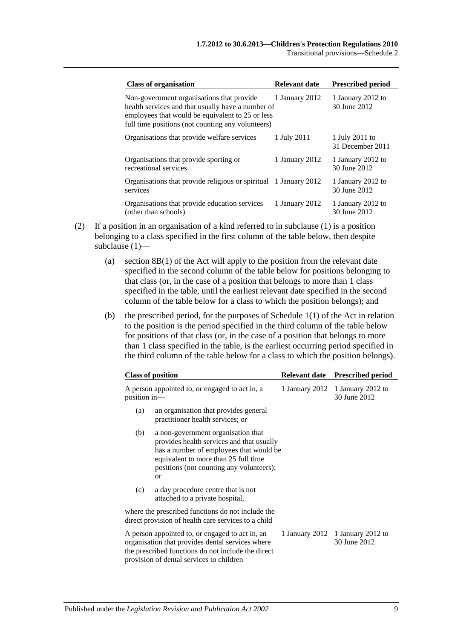Transitional provisions—Schedule 2

| <b>Class of organisation</b>                                                                                                                                                                            | <b>Relevant date</b> | <b>Prescribed period</b>           |
|---------------------------------------------------------------------------------------------------------------------------------------------------------------------------------------------------------|----------------------|------------------------------------|
| Non-government organisations that provide<br>health services and that usually have a number of<br>employees that would be equivalent to 25 or less<br>full time positions (not counting any volunteers) | 1 January 2012       | 1 January 2012 to<br>30 June 2012  |
| Organisations that provide welfare services                                                                                                                                                             | 1 July 2011          | 1 July 2011 to<br>31 December 2011 |
| Organisations that provide sporting or<br>recreational services                                                                                                                                         | 1 January 2012       | 1 January 2012 to<br>30 June 2012  |
| Organisations that provide religious or spiritual 1 January 2012<br>services                                                                                                                            |                      | 1 January 2012 to<br>30 June 2012  |
| Organisations that provide education services<br>(other than schools)                                                                                                                                   | 1 January 2012       | 1 January 2012 to<br>30 June 2012  |

- (2) If a position in an organisation of a kind referred to in [subclause](#page-7-3) (1) is a position belonging to a class specified in the first column of the table below, then despite [subclause](#page-7-3) (1)—
	- (a) section 8B(1) of the Act will apply to the position from the relevant date specified in the second column of the table below for positions belonging to that class (or, in the case of a position that belongs to more than 1 class specified in the table, until the earliest relevant date specified in the second column of the table below for a class to which the position belongs); and
	- (b) the prescribed period, for the purposes of Schedule 1(1) of the Act in relation to the position is the period specified in the third column of the table below for positions of that class (or, in the case of a position that belongs to more than 1 class specified in the table, is the earliest occurring period specified in the third column of the table below for a class to which the position belongs).

|     | <b>Class of position</b>                                                                                                                                                                                                        | <b>Relevant date</b> | <b>Prescribed period</b>                         |
|-----|---------------------------------------------------------------------------------------------------------------------------------------------------------------------------------------------------------------------------------|----------------------|--------------------------------------------------|
|     | A person appointed to, or engaged to act in, a<br>position in-                                                                                                                                                                  |                      | 1 January 2012 1 January 2012 to<br>30 June 2012 |
| (a) | an organisation that provides general<br>practitioner health services; or                                                                                                                                                       |                      |                                                  |
| (b) | a non-government organisation that<br>provides health services and that usually<br>has a number of employees that would be<br>equivalent to more than 25 full time<br>positions (not counting any volunteers);<br><sub>or</sub> |                      |                                                  |
| (c) | a day procedure centre that is not<br>attached to a private hospital,                                                                                                                                                           |                      |                                                  |
|     | where the prescribed functions do not include the<br>direct provision of health care services to a child                                                                                                                        |                      |                                                  |
|     | A person appointed to, or engaged to act in, an<br>organisation that provides dental services where<br>the prescribed functions do not include the direct<br>provision of dental services to children                           | 1 January 2012       | 1 January 2012 to<br>30 June 2012                |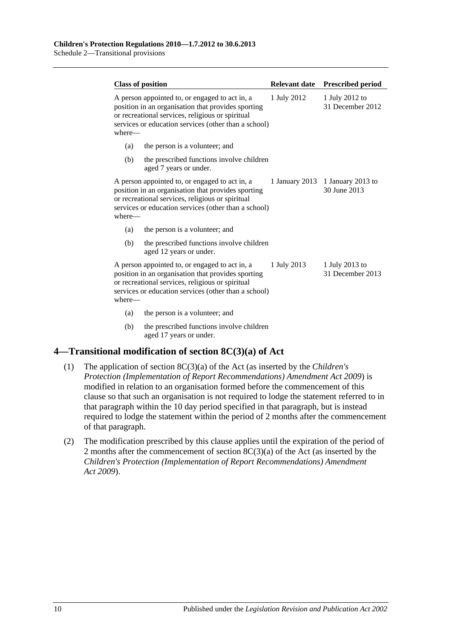| <b>Class of position</b> |                                                                                                                                                                                                                  |             | Relevant date Prescribed period                  |
|--------------------------|------------------------------------------------------------------------------------------------------------------------------------------------------------------------------------------------------------------|-------------|--------------------------------------------------|
| where-                   | A person appointed to, or engaged to act in, a<br>position in an organisation that provides sporting<br>or recreational services, religious or spiritual<br>services or education services (other than a school) | 1 July 2012 | 1 July 2012 to<br>31 December 2012               |
| (a)                      | the person is a volunteer; and                                                                                                                                                                                   |             |                                                  |
| (b)                      | the prescribed functions involve children<br>aged 7 years or under.                                                                                                                                              |             |                                                  |
| where-                   | A person appointed to, or engaged to act in, a<br>position in an organisation that provides sporting<br>or recreational services, religious or spiritual<br>services or education services (other than a school) |             | 1 January 2013 1 January 2013 to<br>30 June 2013 |
| (a)                      | the person is a volunteer; and                                                                                                                                                                                   |             |                                                  |
| (b)                      | the prescribed functions involve children<br>aged 12 years or under.                                                                                                                                             |             |                                                  |
| where—                   | A person appointed to, or engaged to act in, a<br>position in an organisation that provides sporting<br>or recreational services, religious or spiritual<br>services or education services (other than a school) | 1 July 2013 | 1 July 2013 to<br>31 December 2013               |
| (a)                      | the person is a volunteer; and                                                                                                                                                                                   |             |                                                  |
| (b)                      | the prescribed functions involve children<br>aged 17 years or under.                                                                                                                                             |             |                                                  |

## <span id="page-9-0"></span>**4—Transitional modification of section 8C(3)(a) of Act**

- (1) The application of section 8C(3)(a) of the Act (as inserted by the *[Children's](http://www.legislation.sa.gov.au/index.aspx?action=legref&type=act&legtitle=Childrens%20Protection%20(Implementation%20of%20Report%20Recommendations)%20Amendment%20Act%202009)  [Protection \(Implementation of Report Recommendations\) Amendment Act](http://www.legislation.sa.gov.au/index.aspx?action=legref&type=act&legtitle=Childrens%20Protection%20(Implementation%20of%20Report%20Recommendations)%20Amendment%20Act%202009) 2009*) is modified in relation to an organisation formed before the commencement of this clause so that such an organisation is not required to lodge the statement referred to in that paragraph within the 10 day period specified in that paragraph, but is instead required to lodge the statement within the period of 2 months after the commencement of that paragraph.
- (2) The modification prescribed by this clause applies until the expiration of the period of 2 months after the commencement of section 8C(3)(a) of the Act (as inserted by the *[Children's Protection \(Implementation of Report Recommendations\) Amendment](http://www.legislation.sa.gov.au/index.aspx?action=legref&type=act&legtitle=Childrens%20Protection%20(Implementation%20of%20Report%20Recommendations)%20Amendment%20Act%202009)  Act [2009](http://www.legislation.sa.gov.au/index.aspx?action=legref&type=act&legtitle=Childrens%20Protection%20(Implementation%20of%20Report%20Recommendations)%20Amendment%20Act%202009)*).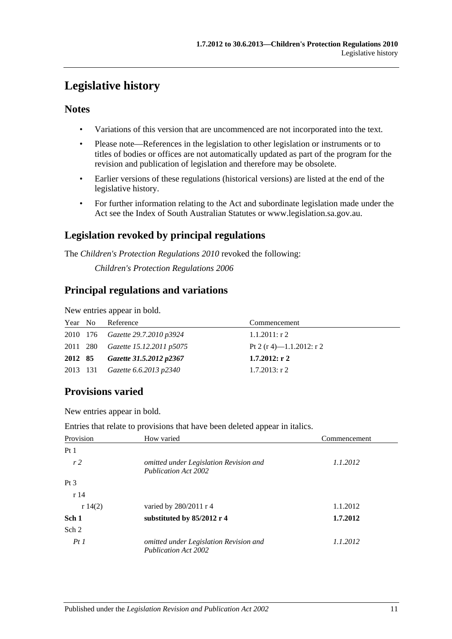# <span id="page-10-0"></span>**Legislative history**

## **Notes**

- Variations of this version that are uncommenced are not incorporated into the text.
- Please note—References in the legislation to other legislation or instruments or to titles of bodies or offices are not automatically updated as part of the program for the revision and publication of legislation and therefore may be obsolete.
- Earlier versions of these regulations (historical versions) are listed at the end of the legislative history.
- For further information relating to the Act and subordinate legislation made under the Act see the Index of South Australian Statutes or www.legislation.sa.gov.au.

## **Legislation revoked by principal regulations**

The *Children's Protection Regulations 2010* revoked the following:

*Children's Protection Regulations 2006*

## **Principal regulations and variations**

New entries appear in bold.

| Year No | Reference                                | Commencement             |
|---------|------------------------------------------|--------------------------|
|         | 2010 176 Gazette 29.7.2010 p3924         | $1.1.2011:$ r 2          |
|         | 2011 280 <i>Gazette 15.12.2011 p5075</i> | Pt 2 (r 4)—1.1.2012: r 2 |
| 2012 85 | Gazette 31.5.2012 p2367                  | $1.7.2012:$ r 2          |
|         | 2013 131 Gazette 6.6.2013 p2340          | $1.7.2013$ : r 2         |

# **Provisions varied**

New entries appear in bold.

Entries that relate to provisions that have been deleted appear in italics.

| Provision       | How varied                                                            | Commencement |
|-----------------|-----------------------------------------------------------------------|--------------|
| Pt1             |                                                                       |              |
| r <sub>2</sub>  | omitted under Legislation Revision and<br><b>Publication Act 2002</b> | 1.1.2012     |
| Pt <sub>3</sub> |                                                                       |              |
| r14             |                                                                       |              |
| r $14(2)$       | varied by 280/2011 r 4                                                | 1.1.2012     |
| Sch 1           | substituted by 85/2012 r 4                                            | 1.7.2012     |
| Sch 2           |                                                                       |              |
| PtI             | omitted under Legislation Revision and<br><b>Publication Act 2002</b> | 1.1.2012     |